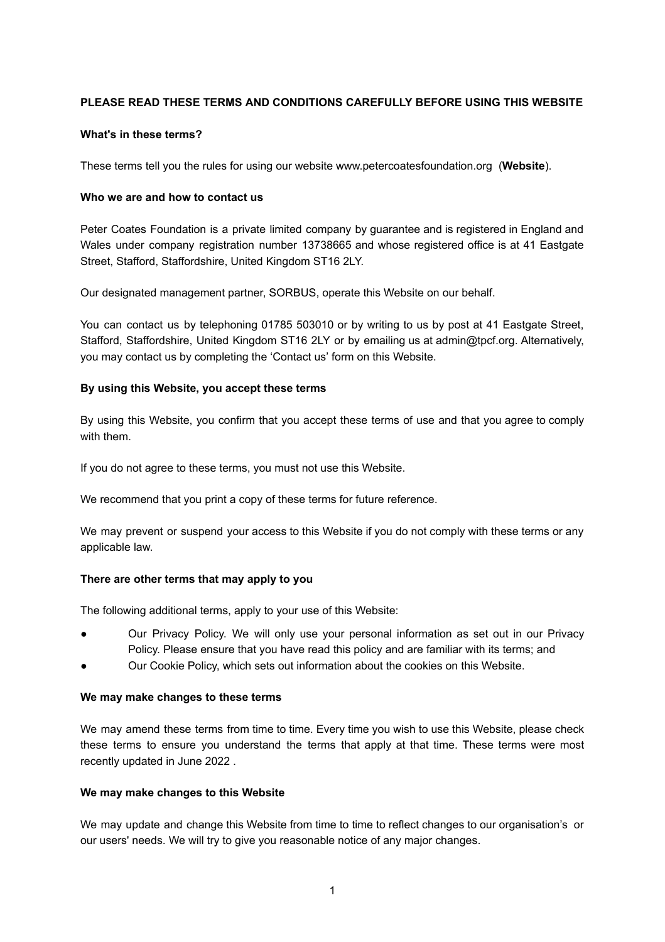# **PLEASE READ THESE TERMS AND CONDITIONS CAREFULLY BEFORE USING THIS WEBSITE**

## **What's in these terms?**

These terms tell you the rules for using our website [www.petercoatesfoundation.org](http://www.petercoatesfoundation.org/) (**Website**).

## **Who we are and how to contact us**

Peter Coates Foundation is a private limited company by guarantee and is registered in England and Wales under company registration number 13738665 and whose registered office is at 41 Eastgate Street, Stafford, Staffordshire, United Kingdom ST16 2LY.

Our designated management partner, SORBUS, operate this Website on our behalf.

You can contact us by telephoning 01785 503010 or by writing to us by post at 41 Eastgate Street, Stafford, Staffordshire, United Kingdom ST16 2LY or by emailing us at admin@tpcf.org. Alternatively, you may contact us by completing the 'Contact us' form on this Website.

## **By using this Website, you accept these terms**

By using this Website, you confirm that you accept these terms of use and that you agree to comply with them.

If you do not agree to these terms, you must not use this Website.

We recommend that you print a copy of these terms for future reference.

We may prevent or suspend your access to this Website if you do not comply with these terms or any applicable law.

## **There are other terms that may apply to you**

The following additional terms, apply to your use of this Website:

- Our Privacy Policy. We will only use your personal information as set out in our Privacy Policy. Please ensure that you have read this policy and are familiar with its terms; and
- Our Cookie Policy, which sets out information about the cookies on this Website.

#### **We may make changes to these terms**

We may amend these terms from time to time. Every time you wish to use this Website, please check these terms to ensure you understand the terms that apply at that time. These terms were most recently updated in June 2022 .

#### **We may make changes to this Website**

We may update and change this Website from time to time to reflect changes to our organisation's or our users' needs. We will try to give you reasonable notice of any major changes.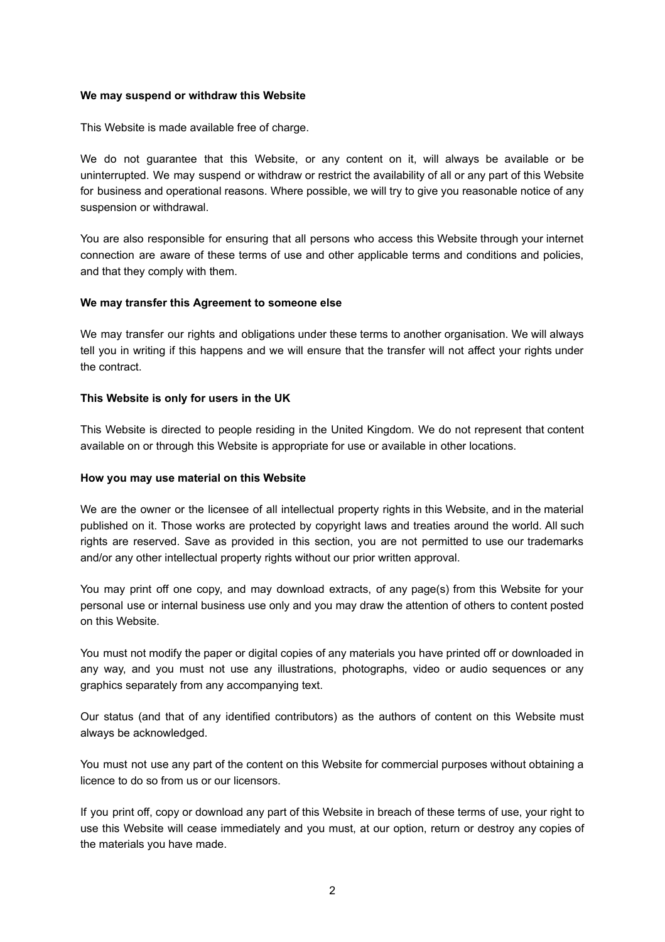## **We may suspend or withdraw this Website**

This Website is made available free of charge.

We do not guarantee that this Website, or any content on it, will always be available or be uninterrupted. We may suspend or withdraw or restrict the availability of all or any part of this Website for business and operational reasons. Where possible, we will try to give you reasonable notice of any suspension or withdrawal.

You are also responsible for ensuring that all persons who access this Website through your internet connection are aware of these terms of use and other applicable terms and conditions and policies, and that they comply with them.

## **We may transfer this Agreement to someone else**

We may transfer our rights and obligations under these terms to another organisation. We will always tell you in writing if this happens and we will ensure that the transfer will not affect your rights under the contract.

## **This Website is only for users in the UK**

This Website is directed to people residing in the United Kingdom. We do not represent that content available on or through this Website is appropriate for use or available in other locations.

## **How you may use material on this Website**

We are the owner or the licensee of all intellectual property rights in this Website, and in the material published on it. Those works are protected by copyright laws and treaties around the world. All such rights are reserved. Save as provided in this section, you are not permitted to use our trademarks and/or any other intellectual property rights without our prior written approval.

You may print off one copy, and may download extracts, of any page(s) from this Website for your personal use or internal business use only and you may draw the attention of others to content posted on this Website.

You must not modify the paper or digital copies of any materials you have printed off or downloaded in any way, and you must not use any illustrations, photographs, video or audio sequences or any graphics separately from any accompanying text.

Our status (and that of any identified contributors) as the authors of content on this Website must always be acknowledged.

You must not use any part of the content on this Website for commercial purposes without obtaining a licence to do so from us or our licensors.

If you print off, copy or download any part of this Website in breach of these terms of use, your right to use this Website will cease immediately and you must, at our option, return or destroy any copies of the materials you have made.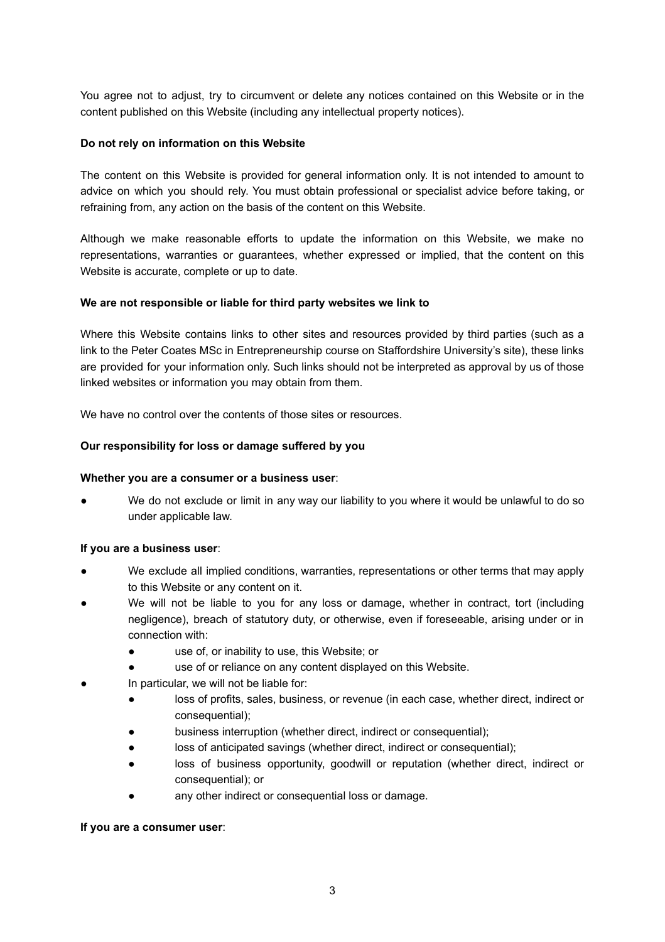You agree not to adjust, try to circumvent or delete any notices contained on this Website or in the content published on this Website (including any intellectual property notices).

## **Do not rely on information on this Website**

The content on this Website is provided for general information only. It is not intended to amount to advice on which you should rely. You must obtain professional or specialist advice before taking, or refraining from, any action on the basis of the content on this Website.

Although we make reasonable efforts to update the information on this Website, we make no representations, warranties or guarantees, whether expressed or implied, that the content on this Website is accurate, complete or up to date.

## **We are not responsible or liable for third party websites we link to**

Where this Website contains links to other sites and resources provided by third parties (such as a link to the Peter Coates MSc in Entrepreneurship course on Staffordshire University's site), these links are provided for your information only. Such links should not be interpreted as approval by us of those linked websites or information you may obtain from them.

We have no control over the contents of those sites or resources.

## **Our responsibility for loss or damage suffered by you**

### **Whether you are a consumer or a business user**:

We do not exclude or limit in any way our liability to you where it would be unlawful to do so under applicable law.

#### **If you are a business user**:

- We exclude all implied conditions, warranties, representations or other terms that may apply to this Website or any content on it.
- We will not be liable to you for any loss or damage, whether in contract, tort (including negligence), breach of statutory duty, or otherwise, even if foreseeable, arising under or in connection with:
	- use of, or inability to use, this Website; or
	- use of or reliance on any content displayed on this Website.
- In particular, we will not be liable for:
	- loss of profits, sales, business, or revenue (in each case, whether direct, indirect or consequential);
	- business interruption (whether direct, indirect or consequential);
	- loss of anticipated savings (whether direct, indirect or consequential);
	- loss of business opportunity, goodwill or reputation (whether direct, indirect or consequential); or
	- any other indirect or consequential loss or damage.

#### **If you are a consumer user**: